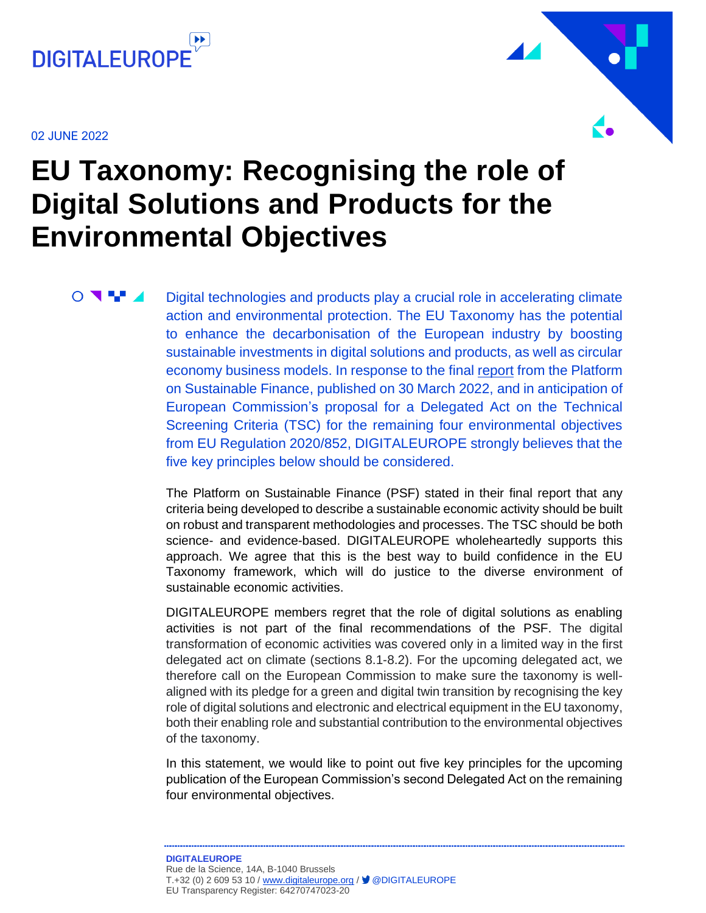

02 JUNE 2022

 $\bigcirc$   $\blacksquare$ 



# **EU Taxonomy: Recognising the role of Digital Solutions and Products for the Environmental Objectives**

Digital technologies and products play a crucial role in accelerating climate action and environmental protection. The EU Taxonomy has the potential to enhance the decarbonisation of the European industry by boosting sustainable investments in digital solutions and products, as well as circular economy business models. In response to the final [report](https://ec.europa.eu/info/sites/default/files/business_economy_euro/banking_and_finance/documents/220330-sustainable-finance-platform-finance-report-remaining-environmental-objectives-taxonomy_en.pdf) from the Platform on Sustainable Finance, published on 30 March 2022, and in anticipation of European Commission's proposal for a Delegated Act on the Technical Screening Criteria (TSC) for the remaining four environmental objectives from EU Regulation 2020/852, DIGITALEUROPE strongly believes that the five key principles below should be considered.

The Platform on Sustainable Finance (PSF) stated in their final report that any criteria being developed to describe a sustainable economic activity should be built on robust and transparent methodologies and processes. The TSC should be both science- and evidence-based. DIGITALEUROPE wholeheartedly supports this approach. We agree that this is the best way to build confidence in the EU Taxonomy framework, which will do justice to the diverse environment of sustainable economic activities.

DIGITALEUROPE members regret that the role of digital solutions as enabling activities is not part of the final recommendations of the PSF. The digital transformation of economic activities was covered only in a limited way in the first delegated act on climate (sections 8.1-8.2). For the upcoming delegated act, we therefore call on the European Commission to make sure the taxonomy is wellaligned with its pledge for a green and digital twin transition by recognising the key role of digital solutions and electronic and electrical equipment in the EU taxonomy, both their enabling role and substantial contribution to the environmental objectives of the taxonomy.

In this statement, we would like to point out five key principles for the upcoming publication of the European Commission's second Delegated Act on the remaining four environmental objectives.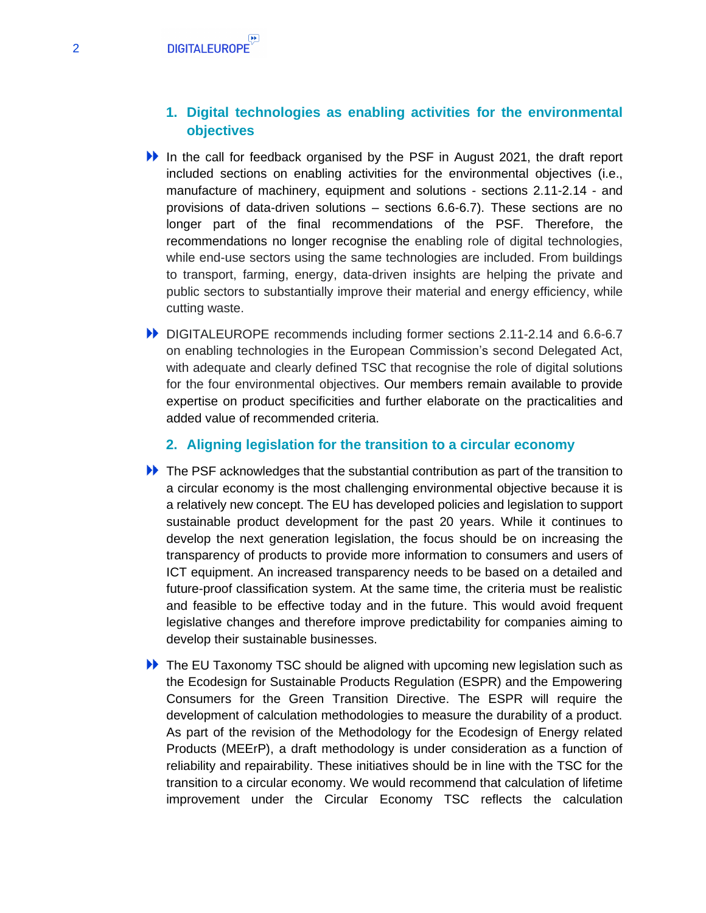## **1. Digital technologies as enabling activities for the environmental objectives**

- In the call for feedback organised by the PSF in August 2021, the draft report included sections on enabling activities for the environmental objectives (i.e., manufacture of machinery, equipment and solutions - sections 2.11-2.14 - and provisions of data-driven solutions – sections 6.6-6.7). These sections are no longer part of the final recommendations of the PSF. Therefore, the recommendations no longer recognise the enabling role of digital technologies, while end-use sectors using the same technologies are included. From buildings to transport, farming, energy, data-driven insights are helping the private and public sectors to substantially improve their material and energy efficiency, while cutting waste.
- DIGITALEUROPE recommends including former sections 2.11-2.14 and 6.6-6.7 on enabling technologies in the European Commission's second Delegated Act, with adequate and clearly defined TSC that recognise the role of digital solutions for the four environmental objectives. Our members remain available to provide expertise on product specificities and further elaborate on the practicalities and added value of recommended criteria.

#### **2. Aligning legislation for the transition to a circular economy**

- The PSF acknowledges that the substantial contribution as part of the transition to a circular economy is the most challenging environmental objective because it is a relatively new concept. The EU has developed policies and legislation to support sustainable product development for the past 20 years. While it continues to develop the next generation legislation, the focus should be on increasing the transparency of products to provide more information to consumers and users of ICT equipment. An increased transparency needs to be based on a detailed and future-proof classification system. At the same time, the criteria must be realistic and feasible to be effective today and in the future. This would avoid frequent legislative changes and therefore improve predictability for companies aiming to develop their sustainable businesses.
- **ID** The EU Taxonomy TSC should be aligned with upcoming new legislation such as the Ecodesign for Sustainable Products Regulation (ESPR) and the Empowering Consumers for the Green Transition Directive. The ESPR will require the development of calculation methodologies to measure the durability of a product. As part of the revision of the Methodology for the Ecodesign of Energy related Products (MEErP), a draft methodology is under consideration as a function of reliability and repairability. These initiatives should be in line with the TSC for the transition to a circular economy. We would recommend that calculation of lifetime improvement under the Circular Economy TSC reflects the calculation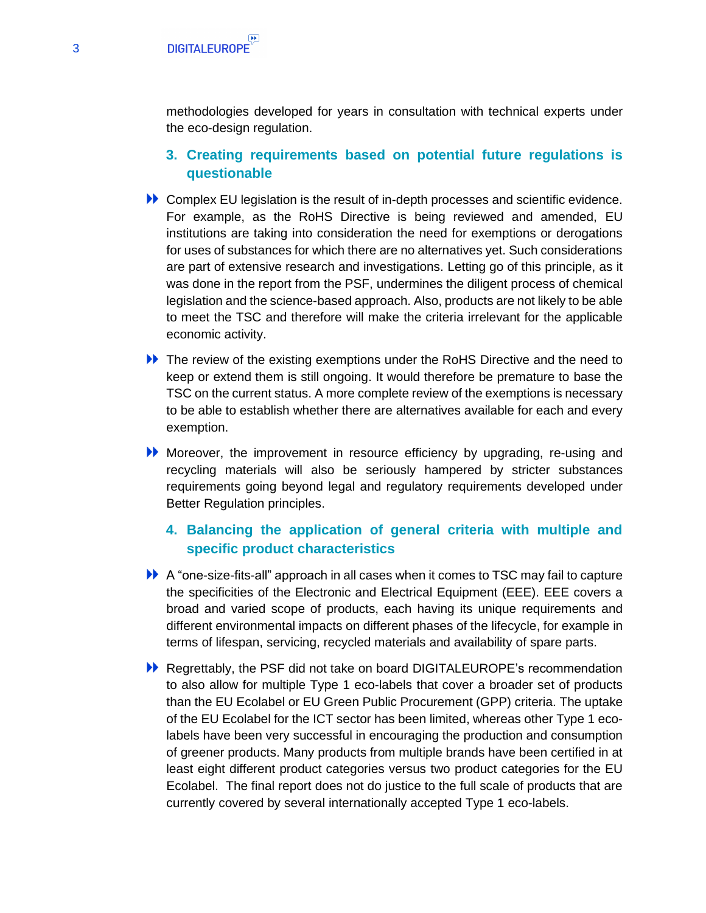methodologies developed for years in consultation with technical experts under the eco-design regulation.

- **3. Creating requirements based on potential future regulations is questionable**
- Complex EU legislation is the result of in-depth processes and scientific evidence. For example, as the RoHS Directive is being reviewed and amended, EU institutions are taking into consideration the need for exemptions or derogations for uses of substances for which there are no alternatives yet. Such considerations are part of extensive research and investigations. Letting go of this principle, as it was done in the report from the PSF, undermines the diligent process of chemical legislation and the science-based approach. Also, products are not likely to be able to meet the TSC and therefore will make the criteria irrelevant for the applicable economic activity.
- **IDED** The review of the existing exemptions under the RoHS Directive and the need to keep or extend them is still ongoing. It would therefore be premature to base the TSC on the current status. A more complete review of the exemptions is necessary to be able to establish whether there are alternatives available for each and every exemption.
- Moreover, the improvement in resource efficiency by upgrading, re-using and recycling materials will also be seriously hampered by stricter substances requirements going beyond legal and regulatory requirements developed under Better Regulation principles.

# **4. Balancing the application of general criteria with multiple and specific product characteristics**

- A "one-size-fits-all" approach in all cases when it comes to TSC may fail to capture the specificities of the Electronic and Electrical Equipment (EEE). EEE covers a broad and varied scope of products, each having its unique requirements and different environmental impacts on different phases of the lifecycle, for example in terms of lifespan, servicing, recycled materials and availability of spare parts.
- **EXECUTE:** Regrettably, the PSF did not take on board DIGITALEUROPE's recommendation to also allow for multiple Type 1 eco-labels that cover a broader set of products than the EU Ecolabel or EU Green Public Procurement (GPP) criteria. The uptake of the EU Ecolabel for the ICT sector has been limited, whereas other Type 1 ecolabels have been very successful in encouraging the production and consumption of greener products. Many products from multiple brands have been certified in at least eight different product categories versus two product categories for the EU Ecolabel. The final report does not do justice to the full scale of products that are currently covered by several internationally accepted Type 1 eco-labels.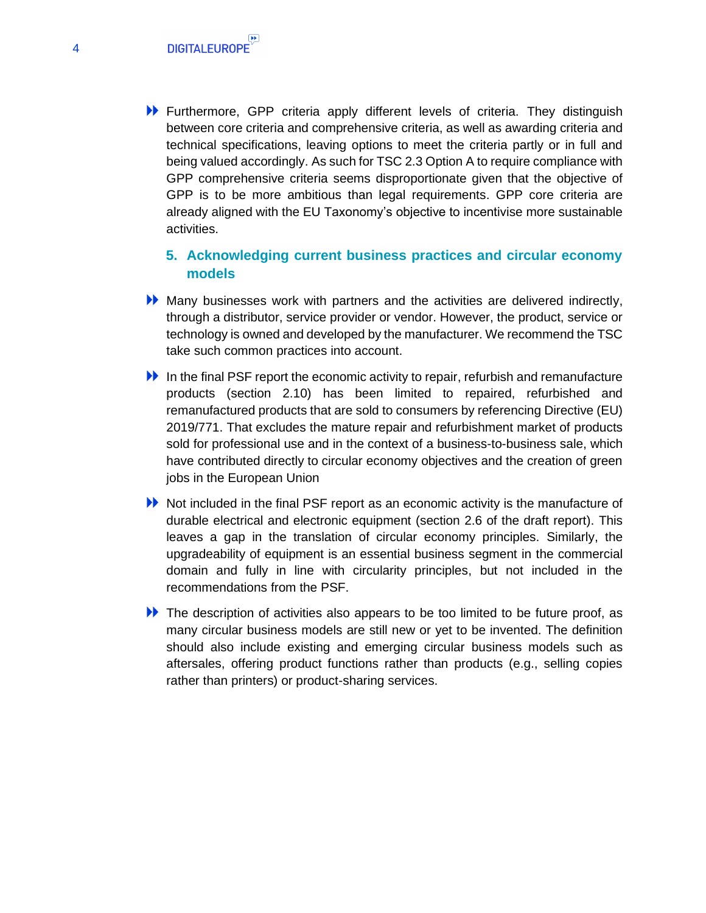Furthermore, GPP criteria apply different levels of criteria. They distinguish between core criteria and comprehensive criteria, as well as awarding criteria and technical specifications, leaving options to meet the criteria partly or in full and being valued accordingly. As such for TSC 2.3 Option A to require compliance with GPP comprehensive criteria seems disproportionate given that the objective of GPP is to be more ambitious than legal requirements. GPP core criteria are already aligned with the EU Taxonomy's objective to incentivise more sustainable activities.

# **5. Acknowledging current business practices and circular economy models**

- Many businesses work with partners and the activities are delivered indirectly, through a distributor, service provider or vendor. However, the product, service or technology is owned and developed by the manufacturer. We recommend the TSC take such common practices into account.
- In the final PSF report the economic activity to repair, refurbish and remanufacture products (section 2.10) has been limited to repaired, refurbished and remanufactured products that are sold to consumers by referencing Directive (EU) 2019/771. That excludes the mature repair and refurbishment market of products sold for professional use and in the context of a business-to-business sale, which have contributed directly to circular economy objectives and the creation of green jobs in the European Union
- Not included in the final PSF report as an economic activity is the manufacture of durable electrical and electronic equipment (section 2.6 of the draft report). This leaves a gap in the translation of circular economy principles. Similarly, the upgradeability of equipment is an essential business segment in the commercial domain and fully in line with circularity principles, but not included in the recommendations from the PSF.
- The description of activities also appears to be too limited to be future proof, as many circular business models are still new or yet to be invented. The definition should also include existing and emerging circular business models such as aftersales, offering product functions rather than products (e.g., selling copies rather than printers) or product-sharing services.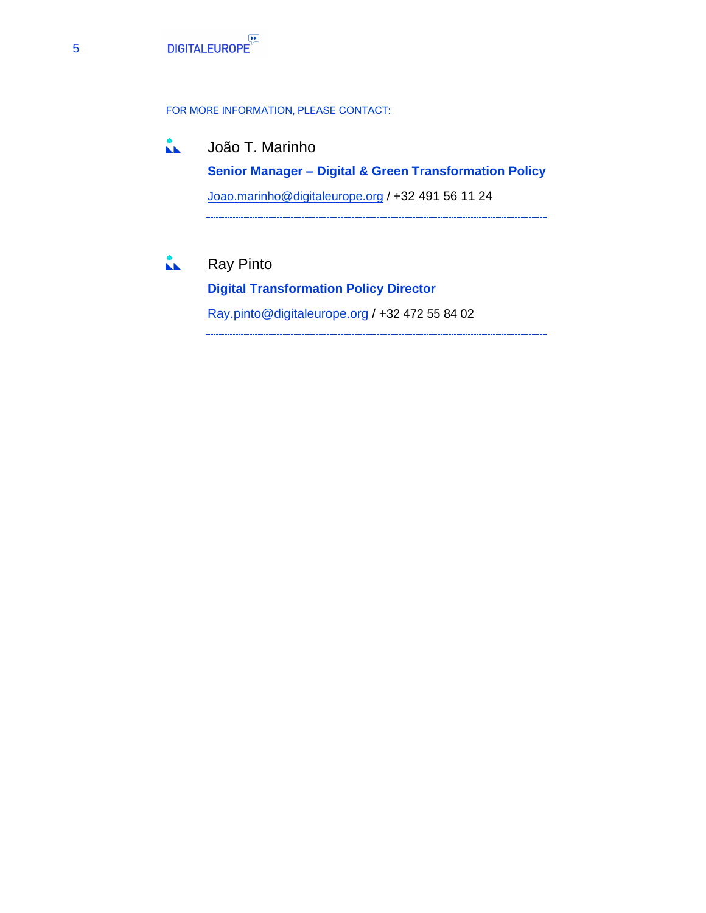#### FOR MORE INFORMATION, PLEASE CONTACT:

- $\mathbf{M}$ João T. Marinho **Senior Manager – Digital & Green Transformation Policy**  [Joao.marinho@digitaleurope.org](mailto:Joao.marinho@digitaleurope.org) / +32 491 56 11 24
- $\mathbf{L}$ Ray Pinto

**Digital Transformation Policy Director** Ray.pinto@digitaleurope.org / +32 472 55 84 02